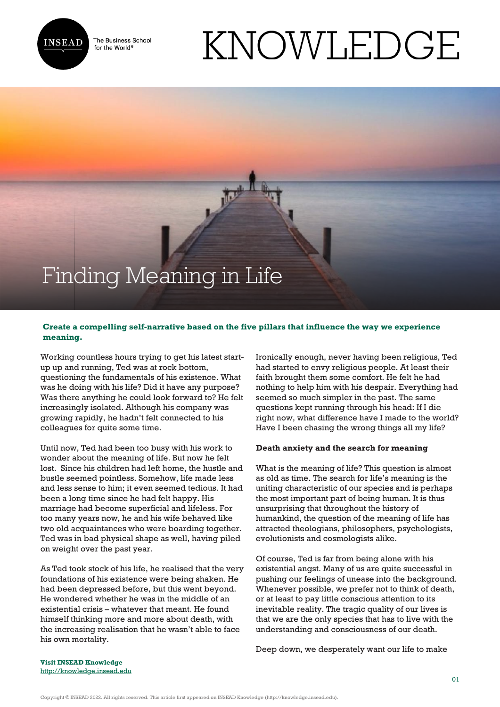

The Business School for the World<sup>®</sup>

# KNOWLEDGE

## Finding Meaning in Life

### **Create a compelling self-narrative based on the five pillars that influence the way we experience meaning.**

 $\frac{1}{2}$ 

Working countless hours trying to get his latest startup up and running, Ted was at rock bottom, questioning the fundamentals of his existence. What was he doing with his life? Did it have any purpose? Was there anything he could look forward to? He felt increasingly isolated. Although his company was growing rapidly, he hadn't felt connected to his colleagues for quite some time.

Until now, Ted had been too busy with his work to wonder about the meaning of life. But now he felt lost. Since his children had left home, the hustle and bustle seemed pointless. Somehow, life made less and less sense to him; it even seemed tedious. It had been a long time since he had felt happy. His marriage had become superficial and lifeless. For too many years now, he and his wife behaved like two old acquaintances who were boarding together. Ted was in bad physical shape as well, having piled on weight over the past year.

As Ted took stock of his life, he realised that the very foundations of his existence were being shaken. He had been depressed before, but this went beyond. He wondered whether he was in the middle of an existential crisis – whatever that meant. He found himself thinking more and more about death, with the increasing realisation that he wasn't able to face his own mortality.

Ironically enough, never having been religious, Ted had started to envy religious people. At least their faith brought them some comfort. He felt he had nothing to help him with his despair. Everything had seemed so much simpler in the past. The same questions kept running through his head: If I die right now, what difference have I made to the world? Have I been chasing the wrong things all my life?

#### **Death anxiety and the search for meaning**

What is the meaning of life? This question is almost as old as time. The search for life's meaning is the uniting characteristic of our species and is perhaps the most important part of being human. It is thus unsurprising that throughout the history of humankind, the question of the meaning of life has attracted theologians, philosophers, psychologists, evolutionists and cosmologists alike.

Of course, Ted is far from being alone with his existential angst. Many of us are quite successful in pushing our feelings of unease into the background. Whenever possible, we prefer not to think of death, or at least to pay little conscious attention to its inevitable reality. The tragic quality of our lives is that we are the only species that has to live with the understanding and consciousness of our death.

Deep down, we desperately want our life to make

**Visit INSEAD Knowledge** <http://knowledge.insead.edu>

Copyright © INSEAD 2022. All rights reserved. This article first appeared on INSEAD Knowledge (http://knowledge.insead.edu).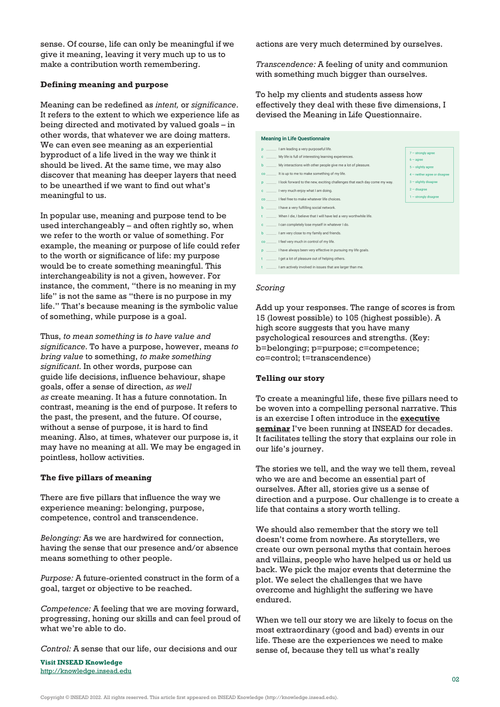sense. Of course, life can only be meaningful if we give it meaning, leaving it very much up to us to make a contribution worth remembering.

#### **Defining meaning and purpose**

Meaning can be redefined as *intent,* or *significance*. It refers to the extent to which we experience life as being directed and motivated by valued goals – in other words, that whatever we are doing matters. We can even see meaning as an experiential byproduct of a life lived in the way we think it should be lived. At the same time, we may also discover that meaning has deeper layers that need to be unearthed if we want to find out what's meaningful to us.

In popular use, meaning and purpose tend to be used interchangeably – and often rightly so, when we refer to the worth or value of something. For example, the meaning or purpose of life could refer to the worth or significance of life: my purpose would be to create something meaningful. This interchangeability is not a given, however. For instance, the comment, "there is no meaning in my life" is not the same as "there is no purpose in my life." That's because meaning is the symbolic value of something, while purpose is a goal.

Thus, *to mean something* is *to have value and significance.* To have a purpose, however, means *to bring value* to something, *to make something significant*. In other words, purpose can guide life decisions, influence behaviour, shape goals, offer a sense of direction, *as well as* create meaning. It has a future connotation. In contrast, meaning is the end of purpose. It refers to the past, the present, and the future. Of course, without a sense of purpose, it is hard to find meaning. Also, at times, whatever our purpose is, it may have no meaning at all. We may be engaged in pointless, hollow activities.

#### **The five pillars of meaning**

There are five pillars that influence the way we experience meaning: belonging, purpose, competence, control and transcendence.

*Belonging:* As we are hardwired for connection, having the sense that our presence and/or absence means something to other people.

*Purpose:* A future-oriented construct in the form of a goal, target or objective to be reached.

*Competence:* A feeling that we are moving forward, progressing, honing our skills and can feel proud of what we're able to do.

*Control:* A sense that our life, our decisions and our

**Visit INSEAD Knowledge** <http://knowledge.insead.edu> actions are very much determined by ourselves.

*Transcendence:* A feeling of unity and communion with something much bigger than ourselves.

To help my clients and students assess how effectively they deal with these five dimensions, I devised the Meaning in Life Questionnaire.

#### **Meaning in Life Questionnaire** p \_\_\_\_\_\_ I am leading a very purposeful life.  $7 -$  strongly agree My life is full of interesting learning experiences.  $\mathbf{c}$  $6 - \text{arcce}$  $\mathbf{b}$ My interactions with other people give me a lot of pleasure  $5 -$  slightly agree  $4$  – neither agree or disagree co It is up to me to make something of my life p \_\_\_\_\_\_ I look forward to the new, exciting challenges that each day come my way  $3 -$  slightly disagree  $2$  – disagree c \_\_\_\_\_\_\_ I very much enjoy what I am doing.  $1 -$  strongly disagree  $\circ$ I feel free to make whatever life choices. l have a very fulfilling social network.  $\mathbf{b}$  $t =$ When I die, I believe that I will have led a very worthwhile life c \_\_\_\_\_\_ I can completely lose myself in whatever I do. b \_\_\_\_\_\_\_ I am very close to my family and friends co \_\_\_\_\_\_ I feel very much in control of my life. I have always been very effective in pursuing my life goals.  $\overline{p}$  = t \_\_\_\_\_\_ I get a lot of pleasure out of helping other t \_\_\_\_\_\_ I am actively involved in issues that are larger than me

#### *Scoring*

Add up your responses. The range of scores is from 15 (lowest possible) to 105 (highest possible). A high score suggests that you have many psychological resources and strengths. (Key: b=belonging; p=purpose; c=competence; co=control; t=transcendence)

#### **Telling our story**

To create a meaningful life, these five pillars need to be woven into a compelling personal narrative. This is an exercise I often introduce in the **[executive](https://www.insead.edu/executive-education/top-management/challenge-leadership) [seminar](https://www.insead.edu/executive-education/top-management/challenge-leadership)** I've been running at INSEAD for decades. It facilitates telling the story that explains our role in our life's journey.

The stories we tell, and the way we tell them, reveal who we are and become an essential part of ourselves. After all, stories give us a sense of direction and a purpose. Our challenge is to create a life that contains a story worth telling.

We should also remember that the story we tell doesn't come from nowhere. As storytellers, we create our own personal myths that contain heroes and villains, people who have helped us or held us back. We pick the major events that determine the plot. We select the challenges that we have overcome and highlight the suffering we have endured.

When we tell our story we are likely to focus on the most extraordinary (good and bad) events in our life. These are the experiences we need to make sense of, because they tell us what's really

Copyright © INSEAD 2022. All rights reserved. This article first appeared on INSEAD Knowledge (http://knowledge.insead.edu).